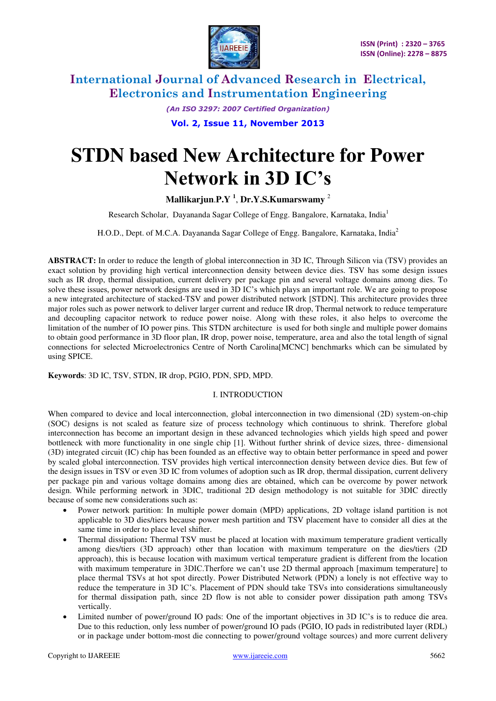

> *(An ISO 3297: 2007 Certified Organization)*  **Vol. 2, Issue 11, November 2013**

# **STDN based New Architecture for Power Network in 3D IC's**

**Mallikarjun**.**P.Y <sup>1</sup>** , **Dr.Y.S.Kumarswamy** <sup>2</sup>

Research Scholar, Dayananda Sagar College of Engg. Bangalore, Karnataka, India<sup>1</sup>

H.O.D., Dept. of M.C.A. Dayananda Sagar College of Engg. Bangalore, Karnataka, India<sup>2</sup>

**ABSTRACT:** In order to reduce the length of global interconnection in 3D IC, Through Silicon via (TSV) provides an exact solution by providing high vertical interconnection density between device dies. TSV has some design issues such as IR drop, thermal dissipation, current delivery per package pin and several voltage domains among dies. To solve these issues, power network designs are used in 3D IC's which plays an important role. We are going to propose a new integrated architecture of stacked-TSV and power distributed network [STDN]. This architecture provides three major roles such as power network to deliver larger current and reduce IR drop, Thermal network to reduce temperature and decoupling capacitor network to reduce power noise. Along with these roles, it also helps to overcome the limitation of the number of IO power pins. This STDN architecture is used for both single and multiple power domains to obtain good performance in 3D floor plan, IR drop, power noise, temperature, area and also the total length of signal connections for selected Microelectronics Centre of North Carolina[MCNC] benchmarks which can be simulated by using SPICE.

**Keywords**: 3D IC, TSV, STDN, IR drop, PGIO, PDN, SPD, MPD.

### I. INTRODUCTION

When compared to device and local interconnection, global interconnection in two dimensional (2D) system-on-chip (SOC) designs is not scaled as feature size of process technology which continuous to shrink. Therefore global interconnection has become an important design in these advanced technologies which yields high speed and power bottleneck with more functionality in one single chip [1]. Without further shrink of device sizes, three- dimensional (3D) integrated circuit (IC) chip has been founded as an effective way to obtain better performance in speed and power by scaled global interconnection. TSV provides high vertical interconnection density between device dies. But few of the design issues in TSV or even 3D IC from volumes of adoption such as IR drop, thermal dissipation, current delivery per package pin and various voltage domains among dies are obtained, which can be overcome by power network design. While performing network in 3DIC, traditional 2D design methodology is not suitable for 3DIC directly because of some new considerations such as:

- Power network partition: In multiple power domain (MPD) applications, 2D voltage island partition is not applicable to 3D dies/tiers because power mesh partition and TSV placement have to consider all dies at the same time in order to place level shifter.
- Thermal dissipation**:** Thermal TSV must be placed at location with maximum temperature gradient vertically among dies/tiers (3D approach) other than location with maximum temperature on the dies/tiers (2D approach), this is because location with maximum vertical temperature gradient is different from the location with maximum temperature in 3DIC.Therfore we can't use 2D thermal approach [maximum temperature] to place thermal TSVs at hot spot directly. Power Distributed Network (PDN) a lonely is not effective way to reduce the temperature in 3D IC's. Placement of PDN should take TSVs into considerations simultaneously for thermal dissipation path, since 2D flow is not able to consider power dissipation path among TSVs vertically.
- Limited number of power/ground IO pads: One of the important objectives in 3D IC's is to reduce die area. Due to this reduction, only less number of power/ground IO pads (PGIO, IO pads in redistributed layer (RDL) or in package under bottom-most die connecting to power/ground voltage sources) and more current delivery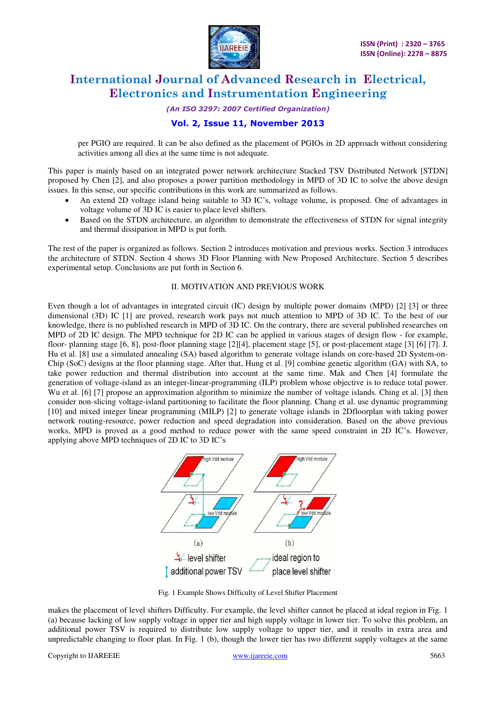

*(An ISO 3297: 2007 Certified Organization)* 

### **Vol. 2, Issue 11, November 2013**

per PGIO are required. It can be also defined as the placement of PGIOs in 2D approach without considering activities among all dies at the same time is not adequate.

This paper is mainly based on an integrated power network architecture Stacked TSV Distributed Network [STDN] proposed by Chen [2], and also proposes a power partition methodology in MPD of 3D IC to solve the above design issues. In this sense, our specific contributions in this work are summarized as follows.

- An extend 2D voltage island being suitable to 3D IC's, voltage volume, is proposed. One of advantages in voltage volume of 3D IC is easier to place level shifters.
- Based on the STDN architecture, an algorithm to demonstrate the effectiveness of STDN for signal integrity and thermal dissipation in MPD is put forth.

The rest of the paper is organized as follows. Section 2 introduces motivation and previous works. Section 3 introduces the architecture of STDN. Section 4 shows 3D Floor Planning with New Proposed Architecture. Section 5 describes experimental setup. Conclusions are put forth in Section 6.

#### II. MOTIVATION AND PREVIOUS WORK

Even though a lot of advantages in integrated circuit (IC) design by multiple power domains (MPD) [2] [3] or three dimensional (3D) IC [1] are proved, research work pays not much attention to MPD of 3D IC. To the best of our knowledge, there is no published research in MPD of 3D IC. On the contrary, there are several published researches on MPD of 2D IC design. The MPD technique for 2D IC can be applied in various stages of design flow - for example, floor- planning stage [6, 8], post-floor planning stage [2][4], placement stage [5], or post-placement stage [3] [6] [7]. J. Hu et al. [8] use a simulated annealing (SA) based algorithm to generate voltage islands on core-based 2D System-on-Chip (SoC) designs at the floor planning stage. After that, Hung et al. [9] combine genetic algorithm (GA) with SA, to take power reduction and thermal distribution into account at the same time. Mak and Chen [4] formulate the generation of voltage-island as an integer-linear-programming (ILP) problem whose objective is to reduce total power. Wu et al. [6] [7] propose an approximation algorithm to minimize the number of voltage islands. Ching et al. [3] then consider non-slicing voltage-island partitioning to facilitate the floor planning. Chang et al. use dynamic programming [10] and mixed integer linear programming (MILP) [2] to generate voltage islands in 2Dfloorplan with taking power network routing-resource, power reduction and speed degradation into consideration. Based on the above previous works, MPD is proved as a good method to reduce power with the same speed constraint in 2D IC's. However, applying above MPD techniques of 2D IC to 3D IC's



Fig. 1 Example Shows Difficulty of Level Shifter Placement

makes the placement of level shifters Difficulty. For example, the level shifter cannot be placed at ideal region in Fig. 1 (a) because lacking of low supply voltage in upper tier and high supply voltage in lower tier. To solve this problem, an additional power TSV is required to distribute low supply voltage to upper tier, and it results in extra area and unpredictable changing to floor plan. In Fig. 1 (b), though the lower tier has two different supply voltages at the same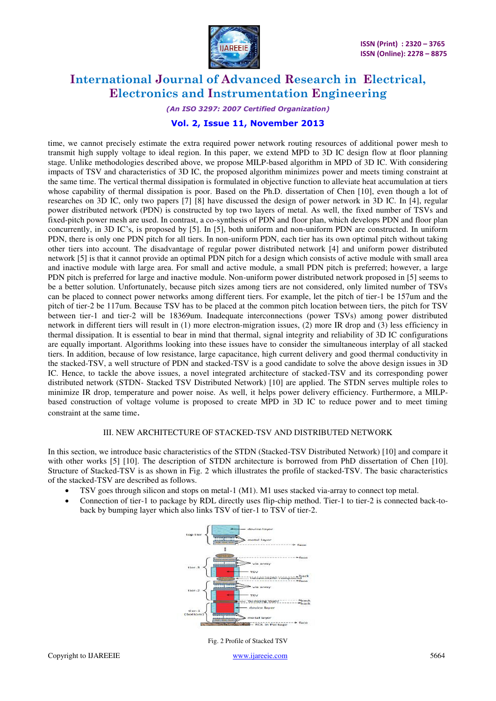

*(An ISO 3297: 2007 Certified Organization)* 

# **Vol. 2, Issue 11, November 2013**

time, we cannot precisely estimate the extra required power network routing resources of additional power mesh to transmit high supply voltage to ideal region. In this paper, we extend MPD to 3D IC design flow at floor planning stage. Unlike methodologies described above, we propose MILP-based algorithm in MPD of 3D IC. With considering impacts of TSV and characteristics of 3D IC, the proposed algorithm minimizes power and meets timing constraint at the same time. The vertical thermal dissipation is formulated in objective function to alleviate heat accumulation at tiers whose capability of thermal dissipation is poor. Based on the Ph.D. dissertation of Chen [10], even though a lot of researches on 3D IC, only two papers [7] [8] have discussed the design of power network in 3D IC. In [4], regular power distributed network (PDN) is constructed by top two layers of metal. As well, the fixed number of TSVs and fixed-pitch power mesh are used. In contrast, a co-synthesis of PDN and floor plan, which develops PDN and floor plan concurrently, in 3D IC's, is proposed by [5]. In [5], both uniform and non-uniform PDN are constructed. In uniform PDN, there is only one PDN pitch for all tiers. In non-uniform PDN, each tier has its own optimal pitch without taking other tiers into account. The disadvantage of regular power distributed network [4] and uniform power distributed network [5] is that it cannot provide an optimal PDN pitch for a design which consists of active module with small area and inactive module with large area. For small and active module, a small PDN pitch is preferred; however, a large PDN pitch is preferred for large and inactive module. Non-uniform power distributed network proposed in [5] seems to be a better solution. Unfortunately, because pitch sizes among tiers are not considered, only limited number of TSVs can be placed to connect power networks among different tiers. For example, let the pitch of tier-1 be 157um and the pitch of tier-2 be 117um. Because TSV has to be placed at the common pitch location between tiers, the pitch for TSV between tier-1 and tier-2 will be 18369um. Inadequate interconnections (power TSVs) among power distributed network in different tiers will result in (1) more electron-migration issues, (2) more IR drop and (3) less efficiency in thermal dissipation. It is essential to bear in mind that thermal, signal integrity and reliability of 3D IC configurations are equally important. Algorithms looking into these issues have to consider the simultaneous interplay of all stacked tiers. In addition, because of low resistance, large capacitance, high current delivery and good thermal conductivity in the stacked-TSV, a well structure of PDN and stacked-TSV is a good candidate to solve the above design issues in 3D IC. Hence, to tackle the above issues, a novel integrated architecture of stacked-TSV and its corresponding power distributed network (STDN- Stacked TSV Distributed Network) [10] are applied. The STDN serves multiple roles to minimize IR drop, temperature and power noise. As well, it helps power delivery efficiency. Furthermore, a MILPbased construction of voltage volume is proposed to create MPD in 3D IC to reduce power and to meet timing constraint at the same time.

#### III. NEW ARCHITECTURE OF STACKED-TSV AND DISTRIBUTED NETWORK

In this section, we introduce basic characteristics of the STDN (Stacked-TSV Distributed Network) [10] and compare it with other works [5] [10]. The description of STDN architecture is borrowed from PhD dissertation of Chen [10]. Structure of Stacked-TSV is as shown in Fig. 2 which illustrates the profile of stacked-TSV. The basic characteristics of the stacked-TSV are described as follows.

- TSV goes through silicon and stops on metal-1 (M1). M1 uses stacked via-array to connect top metal.
- Connection of tier-1 to package by RDL directly uses flip-chip method. Tier-1 to tier-2 is connected back-toback by bumping layer which also links TSV of tier-1 to TSV of tier-2.



Copyright to IJAREEIE [www.ijareeie.com](http://www.ijareeie.com/) 5664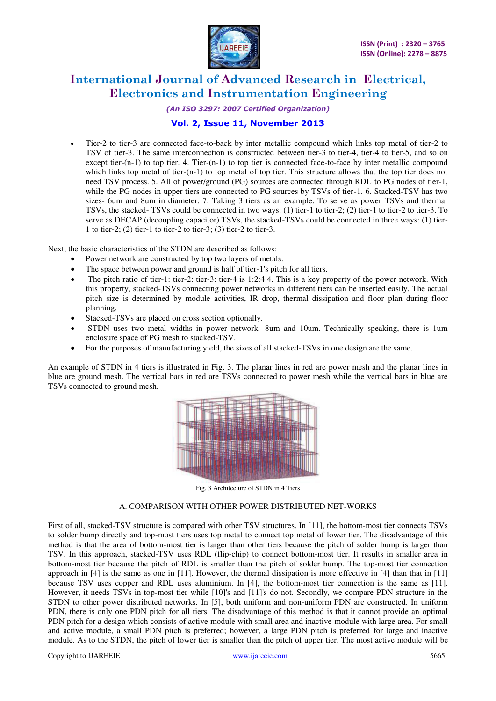

#### *(An ISO 3297: 2007 Certified Organization)*

# **Vol. 2, Issue 11, November 2013**

 Tier-2 to tier-3 are connected face-to-back by inter metallic compound which links top metal of tier-2 to TSV of tier-3. The same interconnection is constructed between tier-3 to tier-4, tier-4 to tier-5, and so on except tier-(n-1) to top tier. 4. Tier-(n-1) to top tier is connected face-to-face by inter metallic compound which links top metal of tier-(n-1) to top metal of top tier. This structure allows that the top tier does not need TSV process. 5. All of power/ground (PG) sources are connected through RDL to PG nodes of tier-1, while the PG nodes in upper tiers are connected to PG sources by TSVs of tier-1. 6. Stacked-TSV has two sizes- 6um and 8um in diameter. 7. Taking 3 tiers as an example. To serve as power TSVs and thermal TSVs, the stacked- TSVs could be connected in two ways: (1) tier-1 to tier-2; (2) tier-1 to tier-2 to tier-3. To serve as DECAP (decoupling capacitor) TSVs, the stacked-TSVs could be connected in three ways: (1) tier-1 to tier-2; (2) tier-1 to tier-2 to tier-3; (3) tier-2 to tier-3.

Next, the basic characteristics of the STDN are described as follows:

- Power network are constructed by top two layers of metals.
- The space between power and ground is half of tier-1's pitch for all tiers.
- The pitch ratio of tier-1: tier-2: tier-3: tier-4 is 1:2:4:4. This is a key property of the power network. With this property, stacked-TSVs connecting power networks in different tiers can be inserted easily. The actual pitch size is determined by module activities, IR drop, thermal dissipation and floor plan during floor planning.
- Stacked-TSVs are placed on cross section optionally.
- STDN uses two metal widths in power network- 8um and 10um. Technically speaking, there is 1um enclosure space of PG mesh to stacked-TSV.
- For the purposes of manufacturing yield, the sizes of all stacked-TSVs in one design are the same.

An example of STDN in 4 tiers is illustrated in Fig. 3. The planar lines in red are power mesh and the planar lines in blue are ground mesh. The vertical bars in red are TSVs connected to power mesh while the vertical bars in blue are TSVs connected to ground mesh.



Fig. 3 Architecture of STDN in 4 Tiers

### A. COMPARISON WITH OTHER POWER DISTRIBUTED NET-WORKS

First of all, stacked-TSV structure is compared with other TSV structures. In [11], the bottom-most tier connects TSVs to solder bump directly and top-most tiers uses top metal to connect top metal of lower tier. The disadvantage of this method is that the area of bottom-most tier is larger than other tiers because the pitch of solder bump is larger than TSV. In this approach, stacked-TSV uses RDL (flip-chip) to connect bottom-most tier. It results in smaller area in bottom-most tier because the pitch of RDL is smaller than the pitch of solder bump. The top-most tier connection approach in [4] is the same as one in [11]. However, the thermal dissipation is more effective in [4] than that in [11] because TSV uses copper and RDL uses aluminium. In [4], the bottom-most tier connection is the same as [11]. However, it needs TSVs in top-most tier while [10]'s and [11]'s do not. Secondly, we compare PDN structure in the STDN to other power distributed networks. In [5], both uniform and non-uniform PDN are constructed. In uniform PDN, there is only one PDN pitch for all tiers. The disadvantage of this method is that it cannot provide an optimal PDN pitch for a design which consists of active module with small area and inactive module with large area. For small and active module, a small PDN pitch is preferred; however, a large PDN pitch is preferred for large and inactive module. As to the STDN, the pitch of lower tier is smaller than the pitch of upper tier. The most active module will be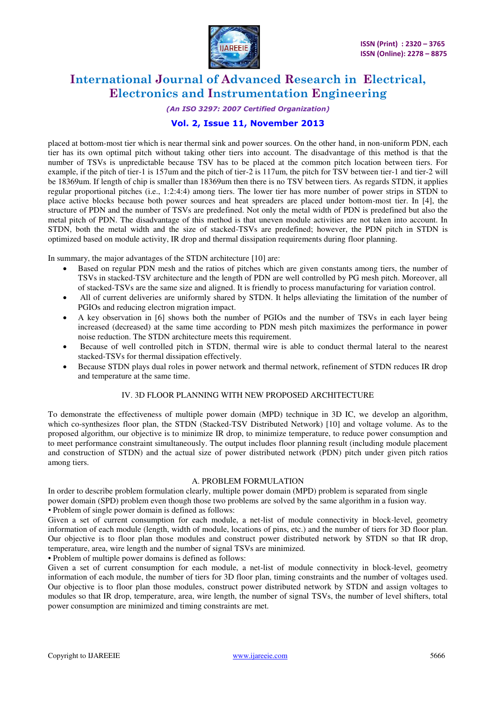

### *(An ISO 3297: 2007 Certified Organization)*

# **Vol. 2, Issue 11, November 2013**

placed at bottom-most tier which is near thermal sink and power sources. On the other hand, in non-uniform PDN, each tier has its own optimal pitch without taking other tiers into account. The disadvantage of this method is that the number of TSVs is unpredictable because TSV has to be placed at the common pitch location between tiers. For example, if the pitch of tier-1 is 157um and the pitch of tier-2 is 117um, the pitch for TSV between tier-1 and tier-2 will be 18369um. If length of chip is smaller than 18369um then there is no TSV between tiers. As regards STDN, it applies regular proportional pitches (i.e., 1:2:4:4) among tiers. The lower tier has more number of power strips in STDN to place active blocks because both power sources and heat spreaders are placed under bottom-most tier. In [4], the structure of PDN and the number of TSVs are predefined. Not only the metal width of PDN is predefined but also the metal pitch of PDN. The disadvantage of this method is that uneven module activities are not taken into account. In STDN, both the metal width and the size of stacked-TSVs are predefined; however, the PDN pitch in STDN is optimized based on module activity, IR drop and thermal dissipation requirements during floor planning.

In summary, the major advantages of the STDN architecture [10] are:

- Based on regular PDN mesh and the ratios of pitches which are given constants among tiers, the number of TSVs in stacked-TSV architecture and the length of PDN are well controlled by PG mesh pitch. Moreover, all of stacked-TSVs are the same size and aligned. It is friendly to process manufacturing for variation control.
- All of current deliveries are uniformly shared by STDN. It helps alleviating the limitation of the number of PGIOs and reducing electron migration impact.
- A key observation in [6] shows both the number of PGIOs and the number of TSVs in each layer being increased (decreased) at the same time according to PDN mesh pitch maximizes the performance in power noise reduction. The STDN architecture meets this requirement.
- Because of well controlled pitch in STDN, thermal wire is able to conduct thermal lateral to the nearest stacked-TSVs for thermal dissipation effectively.
- Because STDN plays dual roles in power network and thermal network, refinement of STDN reduces IR drop and temperature at the same time.

#### IV. 3D FLOOR PLANNING WITH NEW PROPOSED ARCHITECTURE

To demonstrate the effectiveness of multiple power domain (MPD) technique in 3D IC, we develop an algorithm, which co-synthesizes floor plan, the STDN (Stacked-TSV Distributed Network) [10] and voltage volume. As to the proposed algorithm, our objective is to minimize IR drop, to minimize temperature, to reduce power consumption and to meet performance constraint simultaneously. The output includes floor planning result (including module placement and construction of STDN) and the actual size of power distributed network (PDN) pitch under given pitch ratios among tiers.

#### A. PROBLEM FORMULATION

In order to describe problem formulation clearly, multiple power domain (MPD) problem is separated from single power domain (SPD) problem even though those two problems are solved by the same algorithm in a fusion way. *•* Problem of single power domain is defined as follows:

Given a set of current consumption for each module, a net-list of module connectivity in block-level, geometry information of each module (length, width of module, locations of pins, etc.) and the number of tiers for 3D floor plan. Our objective is to floor plan those modules and construct power distributed network by STDN so that IR drop, temperature, area, wire length and the number of signal TSVs are minimized*.*

*•* Problem of multiple power domains is defined as follows:

Given a set of current consumption for each module, a net-list of module connectivity in block-level, geometry information of each module, the number of tiers for 3D floor plan, timing constraints and the number of voltages used. Our objective is to floor plan those modules, construct power distributed network by STDN and assign voltages to modules so that IR drop, temperature, area, wire length, the number of signal TSVs, the number of level shifters, total power consumption are minimized and timing constraints are met.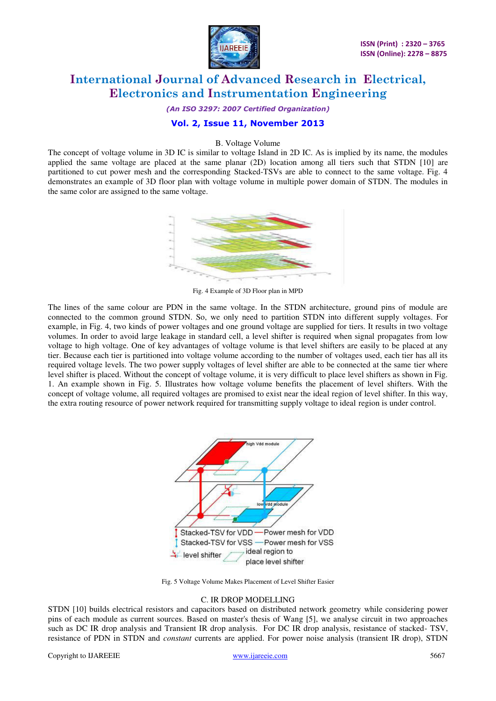

*(An ISO 3297: 2007 Certified Organization)* 

### **Vol. 2, Issue 11, November 2013**

#### B. Voltage Volume

The concept of voltage volume in 3D IC is similar to voltage Island in 2D IC. As is implied by its name, the modules applied the same voltage are placed at the same planar (2D) location among all tiers such that STDN [10] are partitioned to cut power mesh and the corresponding Stacked-TSVs are able to connect to the same voltage. Fig. 4 demonstrates an example of 3D floor plan with voltage volume in multiple power domain of STDN. The modules in the same color are assigned to the same voltage.



Fig. 4 Example of 3D Floor plan in MPD

The lines of the same colour are PDN in the same voltage. In the STDN architecture, ground pins of module are connected to the common ground STDN. So, we only need to partition STDN into different supply voltages. For example, in Fig. 4, two kinds of power voltages and one ground voltage are supplied for tiers. It results in two voltage volumes. In order to avoid large leakage in standard cell, a level shifter is required when signal propagates from low voltage to high voltage. One of key advantages of voltage volume is that level shifters are easily to be placed at any tier. Because each tier is partitioned into voltage volume according to the number of voltages used, each tier has all its required voltage levels. The two power supply voltages of level shifter are able to be connected at the same tier where level shifter is placed. Without the concept of voltage volume, it is very difficult to place level shifters as shown in Fig. 1. An example shown in Fig. 5. Illustrates how voltage volume benefits the placement of level shifters. With the concept of voltage volume, all required voltages are promised to exist near the ideal region of level shifter. In this way, the extra routing resource of power network required for transmitting supply voltage to ideal region is under control.



Fig. 5 Voltage Volume Makes Placement of Level Shifter Easier

#### C. IR DROP MODELLING

STDN [10] builds electrical resistors and capacitors based on distributed network geometry while considering power pins of each module as current sources. Based on master's thesis of Wang [5], we analyse circuit in two approaches such as DC IR drop analysis and Transient IR drop analysis. For DC IR drop analysis, resistance of stacked- TSV, resistance of PDN in STDN and *constant* currents are applied. For power noise analysis (transient IR drop), STDN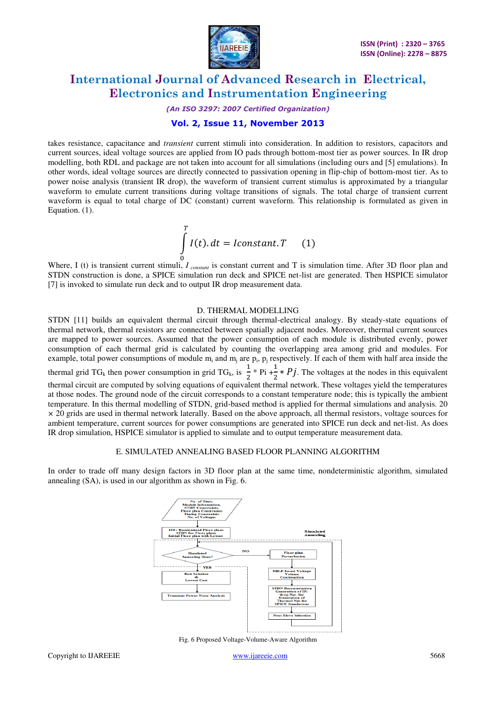

#### *(An ISO 3297: 2007 Certified Organization)*

### **Vol. 2, Issue 11, November 2013**

takes resistance, capacitance and *transient* current stimuli into consideration. In addition to resistors, capacitors and current sources, ideal voltage sources are applied from IO pads through bottom-most tier as power sources. In IR drop modelling, both RDL and package are not taken into account for all simulations (including ours and [5] emulations). In other words, ideal voltage sources are directly connected to passivation opening in flip-chip of bottom-most tier. As to power noise analysis (transient IR drop), the waveform of transient current stimulus is approximated by a triangular waveform to emulate current transitions during voltage transitions of signals. The total charge of transient current waveform is equal to total charge of DC (constant) current waveform. This relationship is formulated as given in Equation. (1).

$$
\int_{0}^{T} I(t). dt = I constant. T \qquad (1)
$$

Where, I (t) is transient current stimuli, *I*<sub>constant</sub> is constant current and T is simulation time. After 3D floor plan and STDN construction is done, a SPICE simulation run deck and SPICE net-list are generated. Then HSPICE simulator [7] is invoked to simulate run deck and to output IR drop measurement data.

#### D. THERMAL MODELLING

STDN [11] builds an equivalent thermal circuit through thermal-electrical analogy. By steady-state equations of thermal network, thermal resistors are connected between spatially adjacent nodes. Moreover, thermal current sources are mapped to power sources. Assumed that the power consumption of each module is distributed evenly, power consumption of each thermal grid is calculated by counting the overlapping area among grid and modules. For example, total power consumptions of module  $m_i$  and  $m_j$  are  $p_i$ ,  $p_j$  respectively. If each of them with half area inside the thermal grid TG<sub>k</sub> then power consumption in grid TG<sub>k</sub>, is  $\frac{1}{2}$  $\frac{1}{2}$  \* Pi + $\frac{1}{2}$  $\frac{1}{2} * Pj$ . The voltages at the nodes in this equivalent thermal circuit are computed by solving equations of equivalent thermal network. These voltages yield the temperatures at those nodes. The ground node of the circuit corresponds to a constant temperature node; this is typically the ambient temperature. In this thermal modelling of STDN, grid-based method is applied for thermal simulations and analysis. 20 *×* 20 grids are used in thermal network laterally. Based on the above approach, all thermal resistors, voltage sources for ambient temperature, current sources for power consumptions are generated into SPICE run deck and net-list. As does IR drop simulation, HSPICE simulator is applied to simulate and to output temperature measurement data.

#### E. SIMULATED ANNEALING BASED FLOOR PLANNING ALGORITHM

In order to trade off many design factors in 3D floor plan at the same time, nondeterministic algorithm, simulated annealing (SA), is used in our algorithm as shown in Fig. 6.



Fig. 6 Proposed Voltage-Volume-Aware Algorithm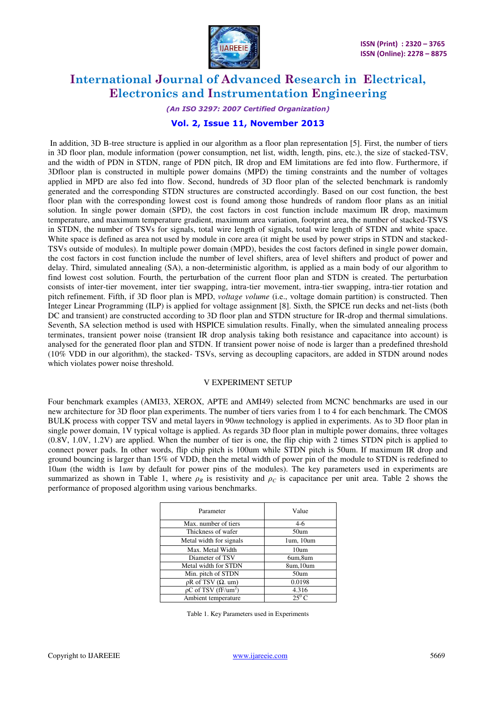

#### *(An ISO 3297: 2007 Certified Organization)*

### **Vol. 2, Issue 11, November 2013**

 In addition, 3D B-tree structure is applied in our algorithm as a floor plan representation [5]. First, the number of tiers in 3D floor plan, module information (power consumption, net list, width, length, pins, etc.), the size of stacked-TSV, and the width of PDN in STDN, range of PDN pitch, IR drop and EM limitations are fed into flow. Furthermore, if 3Dfloor plan is constructed in multiple power domains (MPD) the timing constraints and the number of voltages applied in MPD are also fed into flow. Second, hundreds of 3D floor plan of the selected benchmark is randomly generated and the corresponding STDN structures are constructed accordingly. Based on our cost function, the best floor plan with the corresponding lowest cost is found among those hundreds of random floor plans as an initial solution. In single power domain (SPD), the cost factors in cost function include maximum IR drop, maximum temperature, and maximum temperature gradient, maximum area variation, footprint area, the number of stacked-TSVS in STDN, the number of TSVs for signals, total wire length of signals, total wire length of STDN and white space. White space is defined as area not used by module in core area (it might be used by power strips in STDN and stacked-TSVs outside of modules). In multiple power domain (MPD), besides the cost factors defined in single power domain, the cost factors in cost function include the number of level shifters, area of level shifters and product of power and delay. Third, simulated annealing (SA), a non-deterministic algorithm, is applied as a main body of our algorithm to find lowest cost solution. Fourth, the perturbation of the current floor plan and STDN is created. The perturbation consists of inter-tier movement, inter tier swapping, intra-tier movement, intra-tier swapping, intra-tier rotation and pitch refinement. Fifth, if 3D floor plan is MPD, *voltage volume* (i.e., voltage domain partition) is constructed. Then Integer Linear Programming (ILP) is applied for voltage assignment [8]. Sixth, the SPICE run decks and net-lists (both DC and transient) are constructed according to 3D floor plan and STDN structure for IR-drop and thermal simulations. Seventh, SA selection method is used with HSPICE simulation results. Finally, when the simulated annealing process terminates, transient power noise (transient IR drop analysis taking both resistance and capacitance into account) is analysed for the generated floor plan and STDN. If transient power noise of node is larger than a predefined threshold (10% VDD in our algorithm), the stacked- TSVs, serving as decoupling capacitors, are added in STDN around nodes which violates power noise threshold.

#### V EXPERIMENT SETUP

Four benchmark examples (AMI33, XEROX, APTE and AMI49) selected from MCNC benchmarks are used in our new architecture for 3D floor plan experiments. The number of tiers varies from 1 to 4 for each benchmark. The CMOS BULK process with copper TSV and metal layers in 90*nm* technology is applied in experiments. As to 3D floor plan in single power domain, 1V typical voltage is applied. As regards 3D floor plan in multiple power domains, three voltages (0.8V, 1.0V, 1.2V) are applied. When the number of tier is one, the flip chip with 2 times STDN pitch is applied to connect power pads. In other words, flip chip pitch is 100um while STDN pitch is 50um. If maximum IR drop and ground bouncing is larger than 15% of VDD, then the metal width of power pin of the module to STDN is redefined to 10*um* (the width is 1*um* by default for power pins of the modules). The key parameters used in experiments are summarized as shown in Table 1, where  $\rho_R$  is resistivity and  $\rho_C$  is capacitance per unit area. Table 2 shows the performance of proposed algorithm using various benchmarks.

| Parameter                         | Value            |  |
|-----------------------------------|------------------|--|
| Max. number of tiers              | $4-6$            |  |
| Thickness of wafer                | 50um             |  |
| Metal width for signals           | 1um, 10um        |  |
| Max. Metal Width                  | 10 <sub>um</sub> |  |
| Diameter of TSV                   | 6um,8um          |  |
| Metal width for STDN              | 8um, 10um        |  |
| Min. pitch of STDN                | 50um             |  |
| $\rho$ R of TSV ( $\Omega$ . um)  | 0.0198           |  |
| $pC$ of TSV (fF/um <sup>2</sup> ) | 4.316            |  |
| Ambient temperature               | $25^0$ C         |  |

Table 1. Key Parameters used in Experiments